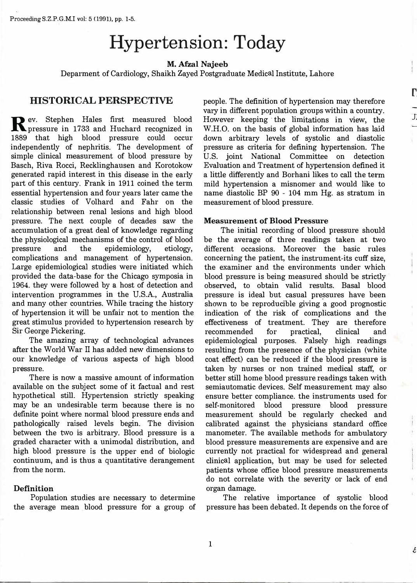# **Hypertension: Today**

**M. Afzal Najeeb**

Deparment of Cardiology, Shaikh Zayed Postgraduate Medical Institute, Lahore

## **IHISTORICAL PERSPECTIVE**

**R** ev. Stephen Hales first measured blood<br>**R** pressure in 1733 and Huchard recognized in pressure in 1733 and Huchard recognized in 1889 that high blood pressure could occur independently of nephritis. The development of simple clinical measurement of blood pressure by Basch, Riva Rocci, Recklinghausen and Korotokow generated rapid interest in this disease in the early part of this century. Frank in 1911 coined the term essential hypertension and four years later came the classic studies of Volhard and Fahr on the relationship between renal lesions and high blood pressure. The next couple of decades saw the accumulation of a great deal of knowledge regarding the physiological mechanisms of the control of blood pressure and the epidemiology, etiology, complications and management of hypertension. Large epidemiological studies were initiated which provided the data-base for the Chicago symposia in 1964. they were followed by a host of detection and intervention programmes in the U.S.A., Australia and many other countries. While tracing the history of hypertension it will be unfair not to mention the great stimulus provided to hypertension research by Sir George Pickering.

The amazing array of technological advances after the World War II has added new dimensions to our knowledge of various aspects of high blood pressure.

There is now a massive amount of information available on the subject some of it factual and rest hypothetical still. Hypertension strictly speaking may be an undesirable term because there is no definite point where normal blood pressure ends and pathologically raised levels begin. The division between the two is arbitrary. Blood pressure is a graded character with a unimodal distribution, and high blood pressure is the upper end of biologic continuum, and is thus a quantitative derangement from the norm.

#### **Definition**

Population studies are necessary to determine the average mean blood pressure for a group of people. The definition of hypertension may therefore vary in different population groups within a country. However keeping · the limitations in view, the W.H.O. on the basis of global information has laid down arbitrary levels of systolic and diastolic pressure as criteria for defining hypertension. The U.S. joint National Committee on detection Evaluation and Treatment of hypertension defined it a little differently and Borhani likes to call the term mild hypertension a misnomer and would like to name diastolic BP 90 - 104 mm Hg. as stratum in measurement of blood pressure.

r.

J:

E

### **Measurement of Blood Pressure**

The initial recording of blood pressure should be the average of three readings taken at two different occasions. Moreover the basic rules concerning the patient, the instrument-its cuff size, the examiner and the environments under which blood pressure is being measured should be strictly observed, to obtain valid results. Basal blood pressure is ideal but casual pressures have been shown to be reproducible giving a good prognostic indication of the risk of complications and the effectiveness of treatment. They are therefore recommended for practical, clinical and epidemiological purposes. Falsely high readings resulting from the presence of the physician (white coat effect) can be reduced if the blood pressure is taken by nurses or non trained medical staff, or better still home blood pressure readings taken with semiautomatic devices. Self measurement may also ensure better compliance. the instruments used for self-monitored blood pressure blood pressure measurement should be regularly checked and calibrated against the physicians standard office manometer. The available methods for ambulatory blood pressure measurements are expensive and are currently not practical for widespread and general clinical application, but may be used for selected patients whose office blood pressure measurements do not correlate with the severity or lack of end organ damage.

The relative importance of systolic blood pressure has been debated. It depends on the force of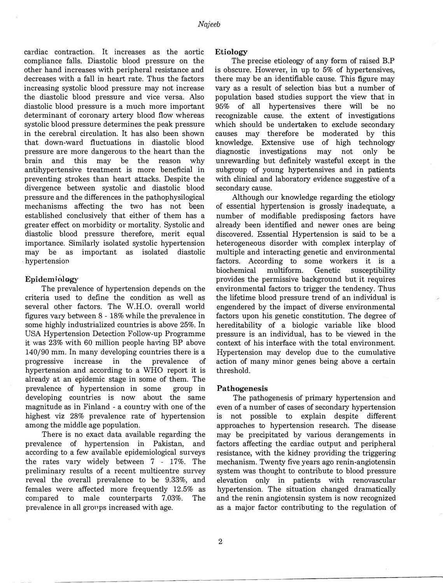cardiac contraction. It increases as the aortic compliance falls. Diastolic blood pressure on the other hand increases with peripheral resistance and decreases with a fall in heart rate. Thus the factors increasing systolic blood pressure may not increase the diastolic blood pressure and vice versa. Also diastolic blood pressure is a much more important determinant of coronary artery blood flow whereas systolic blood pressure determines the peak pressure in the cerebral circulation. It has also been shown that down-ward fluctuations in diastolic blood pressure are more dangerous to the heart than the brain and this may be the reason why antihypertensive treatment is more beneficial in preventing strokes than heart attacks. Despite the divergence between systolic and diastolic blood pressure and the differences in the pathophysilogical mechanisms affecting the two has not been established conclusively that either of them has a greater effect on morbidity or mortality. Systolic and diastolic blood pressure therefore, merit equal importance. Similarly isolated systolic hypertension may be as important as isolated diastolic hypertension

### Epidemiology

The prevalence of hypertension depends on the criteria used to define the condition as well as several other factors. The W.H.O. overall world figures vary between 8 - 18% while the prevalence in some highly industrialized countries is above 25%. In USA Hypertension Detection Follow-up Programme it was 23% with 60 million people having BP above 140/90 mm. In many developing countries there is a progressive increase in the prevalence of hypertension and according to a WHO report it is already at an epidemic stage in some of them. The prevalence of hypertension in some group in developing countries is now about the same magnitude as in Finland - a country with one of the highest viz  $28\%$  prevalence rate of hypertension among the middle age population.

There is no exact data available regarding the prevalence of hypertension in Pakistan, and according to a few available epidemiological surveys the rates vary widely between  $7 - 17\%$ . The preliminary results of a recent multicentre survey reveal the overall prevalence to be 9.33%, and females were affected more frequently 12.5% as compared to male counterparts 7.03%. The prevalence in all groups increased with age.

#### **Etiology**

The precise etioleogy of any form of raised B.P is obscure. However, in up to 5% of hypertensives, there may be an identifiable cause. This figure may vary as a result of selection bias but a number of population based studies support the view that in 95% of all hypertensives there will be no recognizable cause. the extent of investigations which should be undertaken to exclude secondary causes may therefore be moderated by this knowledge. Extensive use of high technology diagnostic investigations may not only be unrewarding but definitely wasteful except in the subgroup of young hypertensives and in patients with clinical and laboratory evidence suggestive of a secondary cause.

Although our knowledge regarding the etiology of essential hypertension is grossly inadequate, a number of modifiable predisposing factors have already been identified and newer ones are being discovered. Essential Hypertension is said to be a heterogeneous disorder with complex interplay of multiple and interacting genetic and environmental factors. According to some workers it is a biochemical multiform. Genetic susceptibility provides the permissive background but it requires environmental factors to trigger the tendency. Thus the lifetime blood pressure trend of an individual is engendered by the impact of diverse environmental factors upon his genetic constitution. The degree of hereditability of a biologic variable like blood pressure is an individual, has to be viewed in the context of his interface with the total environment. Hypertension may develop due to the cumulative action of many minor genes being above a certain threshold.

#### **Pathogenesis**

The pathogenesis of primary hypertension and even of a number of cases of secondary hypertension is not possible to explain despite different approaches to hypertension research. The disease may be precipitated by various derangements in factors affecting the cardiac output and peripheral resistance, with the kidney providing the triggering mechanism. Twenty five years ago renin-angiotensin system was thought to contribute to blood pressure elevation only in patients with renovascular hypertension. The situation changed dramatically and the renin angiotensin system is now recognized as a major factor contributing to the regulation of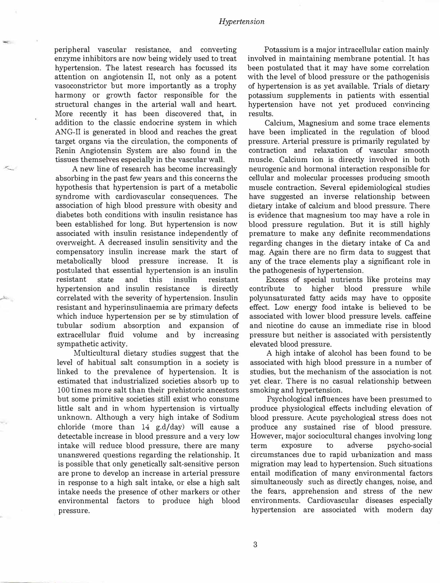peripheral vascular resistance, and converting enzyme inhibitors are now being widely used to treat hypertension. The latest research has focussed its attention on angiotensin II, not only as a potent vasoconstrictor but more importantly as a trophy harmony or growth factor responsible for the structural changes in the arterial wall and heart. More recently it has been discovered that, in addition to the classic endocrine system in which ANG-II is generated in blood and reaches the great target organs via the circulation, the components of Renin Angiotensin System are also found in the tissues themselves especially in the vascular wall.

A new line of research has become increasingly absorbing in the past few years and this concerns the hypothesis that hypertension is part of a metabolic syndrome with cardiovascular consequences. The association of high blood pressure with obesity and diabetes both conditions with insulin resistance has been established for long. But hypertension is now associated with insulin resistance independently of overweight. A decreased insulin sensitivity and the compensatory insulin increase mark the start of metabolically blood pressure increase. It is postulated that essential hypertension is an insulin resistant state and this insulin resistant hypertension and insulin resistance is directly correlated with the severity of hypertension. Insulin resistant and hyperinsulinaemia are primary defects which induce hypertension per se by stimulation of tubular sodium absorption and expansion of extracellular fluid volume and by increasing sympathetic activity.

Multicultural dietary studies suggest that the level of habitual salt consumption in a society is linked to the prevalence of hypertension. It is estimated that industrialized societies absorb up to 100 times more salt than their prehistoric ancestors but some primitive societies still exist who consume little salt and in whom hypertension is virtually unknown. Although a very high intake of Sodium chloride (more than 14 g.d/day) will cause a detectable increase in blood pressure and a very low intake will reduce blood pressure, there are many unanswered questions regarding the relationship. It is possible that only genetically salt-sensitive person are prone to develop an increase in arterial pressure in response to a high salt intake, or else a high salt intake needs the presence of other markers or other environmental factors to produce high blood pressure.

Potassium is a major intracellular cation mainly involved in maintaining membrane potential. It has been postulated that it may have some correlation with the level of blood pressure or the pathogenisis of hypertension is as yet available. Trials of dietary potassium supplements in patients with essential hypertension have not yet produced convincing results.

Calcium, Magnesium and some trace elements have been implicated in the regulation of blood pressure. Arterial pressure is primarily regulated by contraction and relaxation of vascular smooth muscle. Calcium ion is directly involved in both neurogenic and hormonal interaction responsible for cellular and molecular processes producing smooth muscle contraction. Several epidemiological studies have suggested an inverse relationship between dietary intake of calcium and blood pressure. There is evidence that magnesium too may have a role in blood pressure regulation. But it is still highly premature to make any definite recommendations regarding changes in the dietary intake of Ca and mag. Again there are no firm data to suggest that any of the trace elements play a significant role in the pathogenesis of hypertension.

Excess of special nutrients like proteins may contribute to higher blood pressure while polyunsaturated fatty acids may have to opposite effect. Low energy food intake is believed to be associated with lower blood pressure levels. caffeine and nicotine do cause an immediate rise in blood pressure but neither is associated with persistently elevated blood pressure.

A high intake of alcohol has been found to be associated with high blood pressure in a number of studies, but the mechanism of the association is not yet clear. There is no casual relationship between smoking and hypertension.

Psychological influences have been presumed to produce physiological effects including elevation of blood pressure. Acute psychological stress does not produce any sustained rise of blood pressure. However, major sociocultural changes involving long term exposure to adverse psycho-social circumstances due to rapid urbanization and mass migration may lead to hypertension. Such situations entail modification of many environmental factors simultaneously such as directly changes, noise, and the fears, apprehension and stress of the new environments. Cardiovascular diseases especially hypertension are associated with modern day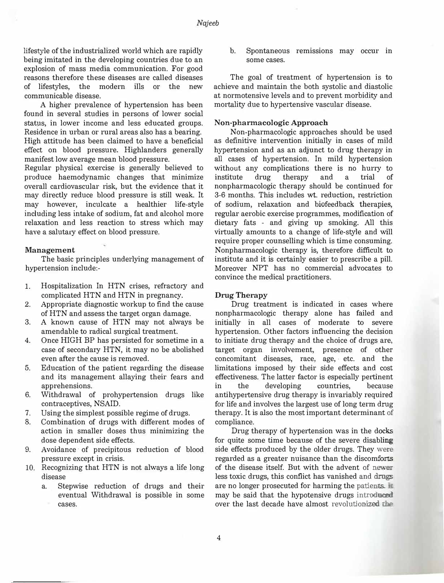lifestyle of the industrialized world which are rapidly being imitated in the developing countries due to an explosion of mass media communication. For good reasons therefore these diseases are called diseases of lifestyles, the modern ills or the new communicable disease.

A higher prevalence of hypertension has been found in several studies in persons of lower social status, in lower income and less educated groups. Residence in urban or rural areas also has a bearing. High attitude has been claimed to have a beneficial effect on blood pressure. Highlanders generally manifest low average mean blood pressure.

Regular physical exercise is generally believed to produce haemodynamic changes that minimize overall cardiovascular risk, but the evidence that it may directly reduce blood pressure is still weak. It may however, inculcate a healthier life-style including less intake of sodium, fat and alcohol more relaxation and less reaction to stress which may have a salutary effect on blood pressure.

#### **Management**

The basic principles underlying management of hypertension include:-

- 1. Hospitalization In HTN crises, refractory and complicated HTN and HTN in pregnancy.
- 2. Appropriate diagnostic workup to find the cause of HTN and assess the target organ damage.
- 3. A known cause of HTN may not always be amendable to radical surgical treatment.
- 4. Once HIGH BP has persisted for sometime in a case of secondary HTN, it may no be abolished even after the cause is removed.
- 5. Education of the patient regarding the disease and its management allaying their fears and apprehensions.
- 6. Withdrawal of prohypertension drugs like contraceptives, NSAID.
- 7. Using the simplest possible regime of drugs.
- 8. Combination of drugs with different modes of action in smaller doses thus minimizing the dose dependent side effects.
- 9. Avoidance· of precipitous reduction of blood pressure except in crisis.
- 10. Recognizing that HTN is not always a life long disease
	- a. Stepwise reduction of drugs and their eventual Withdrawal is possible in some cases.

b. Spontaneous remissions may occur in some cases.

The goal of treatment of hypertension is to achieve and maintain the both systolic and diastolic at normotensive levels and to prevent morbidity and mortality due to hypertensive vascular disease.

#### **Non·pharmacologic Approach**

Non-pharmacologic approaches should be used as definitive intervention initially in cases of mild hypertension and as an adjunct to drug therapy in all cases of hypertension. In mild hypertension without any complications there is no hurry to institute drug therapy and a trial of nonpharmacologic therapy should be continued for 3-6 months. This includes wt. reduction, restriction of sodium, relaxation and biofeedback therapies, regular aerobic exercise programmes, modification of dietary fats - and giving up smoking. All this virtually amounts to a change of life-style and will require proper counselling which is time consuming. Nonpharmacologic therapy is, therefore difficult to institute and it is certainly easier to prescribe a pill. Moreover NPT has no commercial advocates to convince the medical practitioners.

#### **Drug Therapy**

Drug treatment is indicated in cases where nonpharmacologic therapy alone has failed and initially in all cases of moderate to severe hypertension. Other factors influencing the decision to initiate drug therapy and the choice of drugs are, target organ involvement, presence of other concomitant diseases, race, age, etc. and the limitations imposed by their side effects and cost effectiveness. The latter factor is especially pertinent in the developing countries, because antihypertensive drug therapy is invariably required for life and involves the largest use of long term drug therapy. It is also the most important determinant of compliance.

Drug therapy of hypertension was in the docks for quite some time because of the severe disabling side effects produced by the older drugs. They were regarded as a greater nuisance than the discomforts of the disease itself. But with the advent of newer less toxic drugs, this conflict has vanished and drags are no longer prosecuted for harming the patients.  $\bar{r}$ may be said that the hypotensive drugs introduced over the last decade have almost revolutionized the